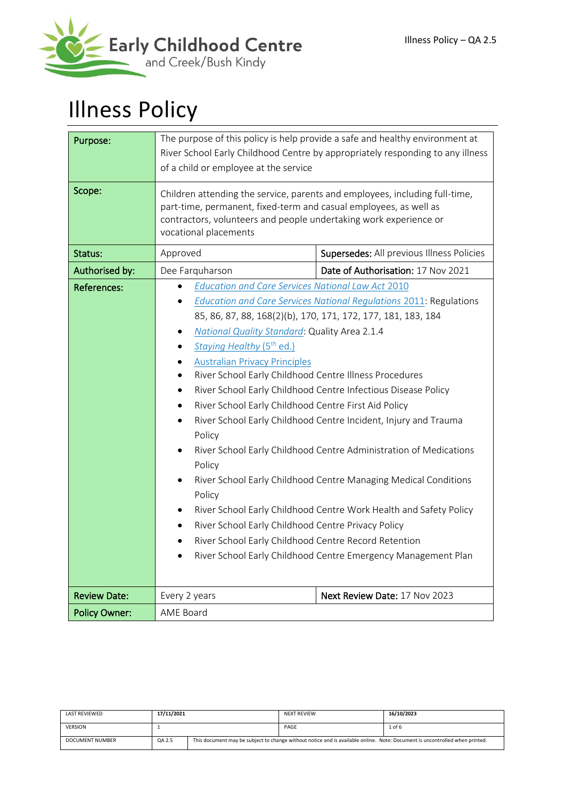

# Illness Policy

| Purpose:             | The purpose of this policy is help provide a safe and healthy environment at                                            |                                                                             |  |  |
|----------------------|-------------------------------------------------------------------------------------------------------------------------|-----------------------------------------------------------------------------|--|--|
|                      | River School Early Childhood Centre by appropriately responding to any illness<br>of a child or employee at the service |                                                                             |  |  |
|                      |                                                                                                                         |                                                                             |  |  |
| Scope:               | part-time, permanent, fixed-term and casual employees, as well as                                                       | Children attending the service, parents and employees, including full-time, |  |  |
|                      | contractors, volunteers and people undertaking work experience or                                                       |                                                                             |  |  |
|                      | vocational placements                                                                                                   |                                                                             |  |  |
| Status:              | Approved                                                                                                                | Supersedes: All previous Illness Policies                                   |  |  |
| Authorised by:       | Dee Farquharson                                                                                                         | Date of Authorisation: 17 Nov 2021                                          |  |  |
| References:          | <b>Education and Care Services National Law Act 2010</b>                                                                |                                                                             |  |  |
|                      |                                                                                                                         | <b>Education and Care Services National Regulations 2011: Regulations</b>   |  |  |
|                      | 85, 86, 87, 88, 168(2)(b), 170, 171, 172, 177, 181, 183, 184                                                            |                                                                             |  |  |
|                      | National Quality Standard: Quality Area 2.1.4<br>$\bullet$                                                              |                                                                             |  |  |
|                      | Staying Healthy (5 <sup>th</sup> ed.)<br>$\bullet$                                                                      |                                                                             |  |  |
|                      | <b>Australian Privacy Principles</b>                                                                                    |                                                                             |  |  |
|                      | River School Early Childhood Centre Illness Procedures                                                                  |                                                                             |  |  |
|                      | River School Early Childhood Centre Infectious Disease Policy<br>$\bullet$                                              |                                                                             |  |  |
|                      | River School Early Childhood Centre First Aid Policy<br>$\bullet$                                                       |                                                                             |  |  |
|                      | River School Early Childhood Centre Incident, Injury and Trauma<br>$\bullet$<br>Policy                                  |                                                                             |  |  |
|                      | River School Early Childhood Centre Administration of Medications                                                       |                                                                             |  |  |
|                      | Policy                                                                                                                  |                                                                             |  |  |
|                      | River School Early Childhood Centre Managing Medical Conditions<br>٠<br>Policy                                          |                                                                             |  |  |
|                      | River School Early Childhood Centre Work Health and Safety Policy                                                       |                                                                             |  |  |
|                      | River School Early Childhood Centre Privacy Policy<br>$\bullet$                                                         |                                                                             |  |  |
|                      | River School Early Childhood Centre Record Retention<br>$\bullet$                                                       |                                                                             |  |  |
|                      | River School Early Childhood Centre Emergency Management Plan                                                           |                                                                             |  |  |
|                      |                                                                                                                         |                                                                             |  |  |
| <b>Review Date:</b>  | Next Review Date: 17 Nov 2023<br>Every 2 years                                                                          |                                                                             |  |  |
| <b>Policy Owner:</b> | AME Board                                                                                                               |                                                                             |  |  |

| LAST REVIEWED          | 17/11/2021 |                                                                                                                             | <b>NEXT REVIEW</b> | 16/10/2023 |
|------------------------|------------|-----------------------------------------------------------------------------------------------------------------------------|--------------------|------------|
| <b>VERSION</b>         |            |                                                                                                                             | PAGE               | 1 of 6     |
| <b>DOCUMENT NUMBER</b> | QA 2.5     | This document may be subject to change without notice and is available online. Note: Document is uncontrolled when printed. |                    |            |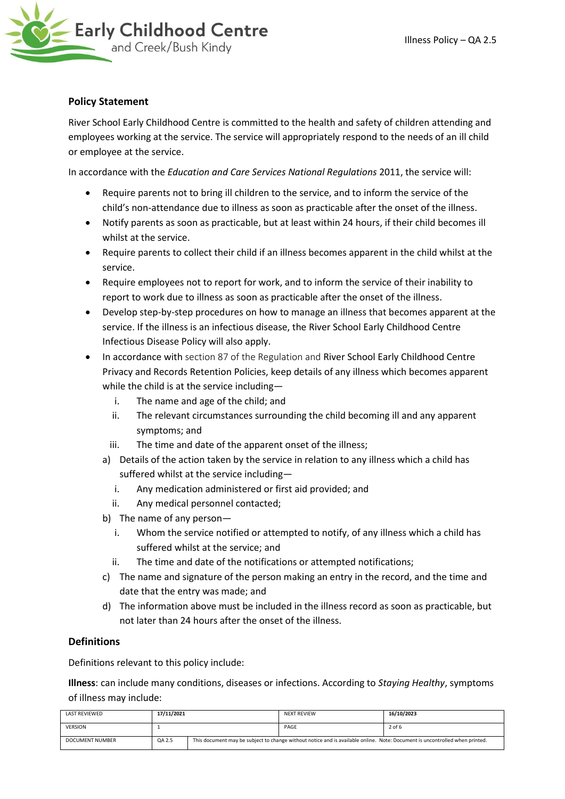

## **Policy Statement**

River School Early Childhood Centre is committed to the health and safety of children attending and employees working at the service. The service will appropriately respond to the needs of an ill child or employee at the service.

In accordance with the *Education and Care Services National Regulations* 2011, the service will:

- Require parents not to bring ill children to the service, and to inform the service of the child's non-attendance due to illness as soon as practicable after the onset of the illness.
- Notify parents as soon as practicable, but at least within 24 hours, if their child becomes ill whilst at the service.
- Require parents to collect their child if an illness becomes apparent in the child whilst at the service.
- Require employees not to report for work, and to inform the service of their inability to report to work due to illness as soon as practicable after the onset of the illness.
- Develop step-by-step procedures on how to manage an illness that becomes apparent at the service. If the illness is an infectious disease, the River School Early Childhood Centre Infectious Disease Policy will also apply.
- In accordance with section 87 of the Regulation and River School Early Childhood Centre Privacy and Records Retention Policies, keep details of any illness which becomes apparent while the child is at the service including
	- i. The name and age of the child; and
	- ii. The relevant circumstances surrounding the child becoming ill and any apparent symptoms; and
	- iii. The time and date of the apparent onset of the illness;
	- a) Details of the action taken by the service in relation to any illness which a child has suffered whilst at the service including
		- i. Any medication administered or first aid provided; and
		- ii. Any medical personnel contacted;
	- b) The name of any person
		- i. Whom the service notified or attempted to notify, of any illness which a child has suffered whilst at the service; and
		- ii. The time and date of the notifications or attempted notifications;
	- c) The name and signature of the person making an entry in the record, and the time and date that the entry was made; and
	- d) The information above must be included in the illness record as soon as practicable, but not later than 24 hours after the onset of the illness.

## **Definitions**

Definitions relevant to this policy include:

**Illness**: can include many conditions, diseases or infections. According to *Staying Healthy*, symptoms of illness may include:

| LAST REVIEWED          | 17/11/2021 |                                                                                                                             | <b>NEXT REVIEW</b> | 16/10/2023 |
|------------------------|------------|-----------------------------------------------------------------------------------------------------------------------------|--------------------|------------|
| <b>VERSION</b>         |            |                                                                                                                             | PAGE               | 2 of 6     |
| <b>DOCUMENT NUMBER</b> | QA 2.5     | This document may be subject to change without notice and is available online. Note: Document is uncontrolled when printed. |                    |            |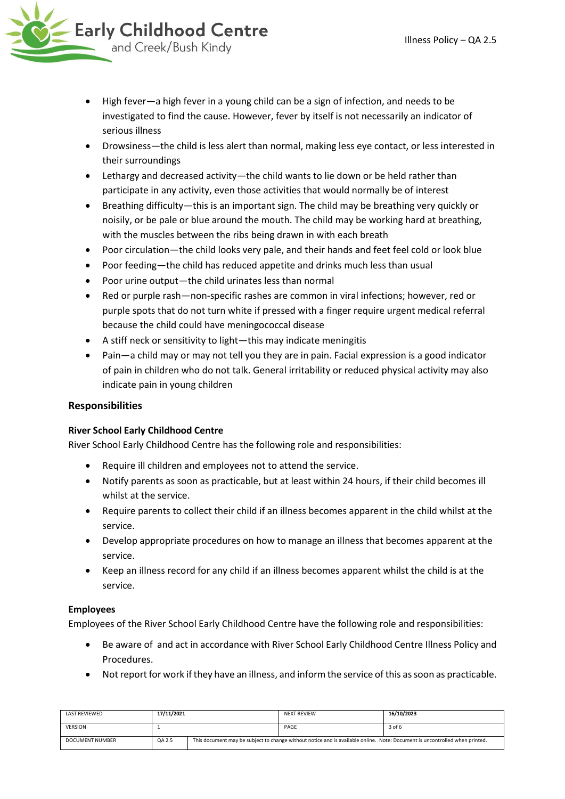- High fever—a high fever in a young child can be a sign of infection, and needs to be investigated to find the cause. However, fever by itself is not necessarily an indicator of serious illness
- Drowsiness—the child is less alert than normal, making less eye contact, or less interested in their surroundings
- Lethargy and decreased activity—the child wants to lie down or be held rather than participate in any activity, even those activities that would normally be of interest
- Breathing difficulty—this is an important sign. The child may be breathing very quickly or noisily, or be pale or blue around the mouth. The child may be working hard at breathing, with the muscles between the ribs being drawn in with each breath
- Poor circulation—the child looks very pale, and their hands and feet feel cold or look blue
- Poor feeding—the child has reduced appetite and drinks much less than usual
- Poor urine output—the child urinates less than normal
- Red or purple rash—non-specific rashes are common in viral infections; however, red or purple spots that do not turn white if pressed with a finger require urgent medical referral because the child could have meningococcal disease
- A stiff neck or sensitivity to light—this may indicate meningitis
- Pain—a child may or may not tell you they are in pain. Facial expression is a good indicator of pain in children who do not talk. General irritability or reduced physical activity may also indicate pain in young children

## **Responsibilities**

## **River School Early Childhood Centre**

River School Early Childhood Centre has the following role and responsibilities:

- Require ill children and employees not to attend the service.
- Notify parents as soon as practicable, but at least within 24 hours, if their child becomes ill whilst at the service.
- Require parents to collect their child if an illness becomes apparent in the child whilst at the service.
- Develop appropriate procedures on how to manage an illness that becomes apparent at the service.
- Keep an illness record for any child if an illness becomes apparent whilst the child is at the service.

## **Employees**

Employees of the River School Early Childhood Centre have the following role and responsibilities:

- Be aware of and act in accordance with River School Early Childhood Centre Illness Policy and Procedures.
- Not report for work if they have an illness, and inform the service of this as soon as practicable.

| <b>LAST REVIEWED</b> | 17/11/2021 |                                                                                                                             | <b>NEXT REVIEW</b> | 16/10/2023 |
|----------------------|------------|-----------------------------------------------------------------------------------------------------------------------------|--------------------|------------|
| <b>VERSION</b>       |            |                                                                                                                             | PAGE               | 3 of 6     |
| DOCUMENT NUMBER      | QA 2.5     | This document may be subject to change without notice and is available online. Note: Document is uncontrolled when printed. |                    |            |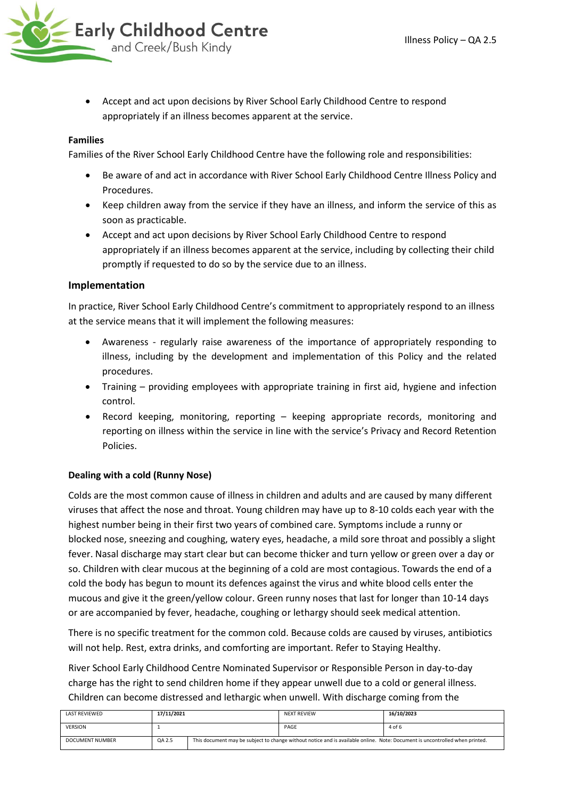

• Accept and act upon decisions by River School Early Childhood Centre to respond appropriately if an illness becomes apparent at the service.

#### **Families**

Families of the River School Early Childhood Centre have the following role and responsibilities:

- Be aware of and act in accordance with River School Early Childhood Centre Illness Policy and Procedures.
- Keep children away from the service if they have an illness, and inform the service of this as soon as practicable.
- Accept and act upon decisions by River School Early Childhood Centre to respond appropriately if an illness becomes apparent at the service, including by collecting their child promptly if requested to do so by the service due to an illness.

#### **Implementation**

In practice, River School Early Childhood Centre's commitment to appropriately respond to an illness at the service means that it will implement the following measures:

- Awareness regularly raise awareness of the importance of appropriately responding to illness, including by the development and implementation of this Policy and the related procedures.
- Training providing employees with appropriate training in first aid, hygiene and infection control.
- Record keeping, monitoring, reporting keeping appropriate records, monitoring and reporting on illness within the service in line with the service's Privacy and Record Retention Policies.

#### **Dealing with a cold (Runny Nose)**

Colds are the most common cause of illness in children and adults and are caused by many different viruses that affect the nose and throat. Young children may have up to 8-10 colds each year with the highest number being in their first two years of combined care. Symptoms include a runny or blocked nose, sneezing and coughing, watery eyes, headache, a mild sore throat and possibly a slight fever. Nasal discharge may start clear but can become thicker and turn yellow or green over a day or so. Children with clear mucous at the beginning of a cold are most contagious. Towards the end of a cold the body has begun to mount its defences against the virus and white blood cells enter the mucous and give it the green/yellow colour. Green runny noses that last for longer than 10-14 days or are accompanied by fever, headache, coughing or lethargy should seek medical attention.

There is no specific treatment for the common cold. Because colds are caused by viruses, antibiotics will not help. Rest, extra drinks, and comforting are important. Refer to Staying Healthy.

River School Early Childhood Centre Nominated Supervisor or Responsible Person in day-to-day charge has the right to send children home if they appear unwell due to a cold or general illness. Children can become distressed and lethargic when unwell. With discharge coming from the

| <b>LAST REVIEWED</b> | 17/11/2021 |                                                                                                                             | <b>NEXT REVIEW</b> | 16/10/2023 |
|----------------------|------------|-----------------------------------------------------------------------------------------------------------------------------|--------------------|------------|
| <b>VERSION</b>       |            |                                                                                                                             | PAGE               | 4 of 6     |
| DOCUMENT NUMBER      | QA 2.5     | This document may be subject to change without notice and is available online. Note: Document is uncontrolled when printed. |                    |            |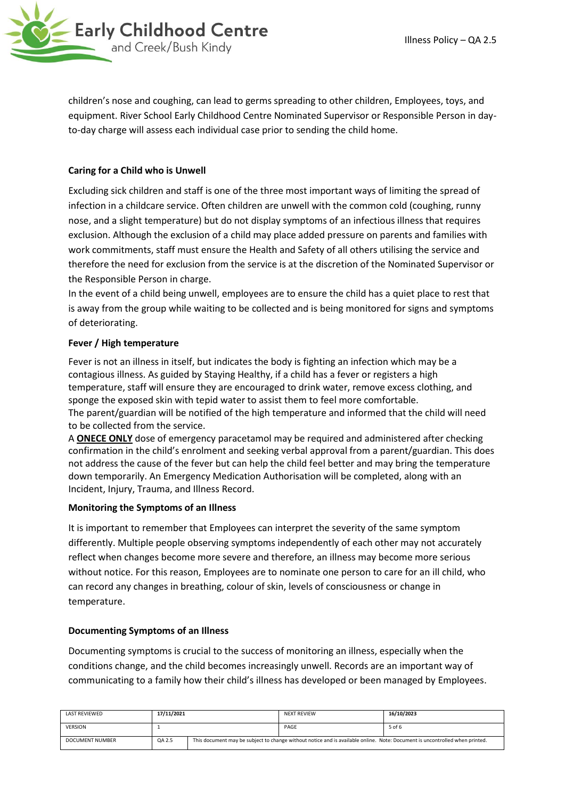

children's nose and coughing, can lead to germs spreading to other children, Employees, toys, and equipment. River School Early Childhood Centre Nominated Supervisor or Responsible Person in dayto-day charge will assess each individual case prior to sending the child home.

## **Caring for a Child who is Unwell**

Excluding sick children and staff is one of the three most important ways of limiting the spread of infection in a childcare service. Often children are unwell with the common cold (coughing, runny nose, and a slight temperature) but do not display symptoms of an infectious illness that requires exclusion. Although the exclusion of a child may place added pressure on parents and families with work commitments, staff must ensure the Health and Safety of all others utilising the service and therefore the need for exclusion from the service is at the discretion of the Nominated Supervisor or the Responsible Person in charge.

In the event of a child being unwell, employees are to ensure the child has a quiet place to rest that is away from the group while waiting to be collected and is being monitored for signs and symptoms of deteriorating.

#### **Fever / High temperature**

Fever is not an illness in itself, but indicates the body is fighting an infection which may be a contagious illness. As guided by Staying Healthy, if a child has a fever or registers a high temperature, staff will ensure they are encouraged to drink water, remove excess clothing, and sponge the exposed skin with tepid water to assist them to feel more comfortable. The parent/guardian will be notified of the high temperature and informed that the child will need to be collected from the service.

A **ONECE ONLY** dose of emergency paracetamol may be required and administered after checking confirmation in the child's enrolment and seeking verbal approval from a parent/guardian. This does not address the cause of the fever but can help the child feel better and may bring the temperature down temporarily. An Emergency Medication Authorisation will be completed, along with an Incident, Injury, Trauma, and Illness Record.

#### **Monitoring the Symptoms of an Illness**

It is important to remember that Employees can interpret the severity of the same symptom differently. Multiple people observing symptoms independently of each other may not accurately reflect when changes become more severe and therefore, an illness may become more serious without notice. For this reason, Employees are to nominate one person to care for an ill child, who can record any changes in breathing, colour of skin, levels of consciousness or change in temperature.

#### **Documenting Symptoms of an Illness**

Documenting symptoms is crucial to the success of monitoring an illness, especially when the conditions change, and the child becomes increasingly unwell. Records are an important way of communicating to a family how their child's illness has developed or been managed by Employees.

| LAST REVIEWED   | 17/11/2021 |                                                                                                                             | <b>NEXT REVIEW</b> | 16/10/2023 |
|-----------------|------------|-----------------------------------------------------------------------------------------------------------------------------|--------------------|------------|
| <b>VERSION</b>  |            |                                                                                                                             | PAGE               | 5 of 6     |
| DOCUMENT NUMBER | QA 2.5     | This document may be subject to change without notice and is available online. Note: Document is uncontrolled when printed. |                    |            |